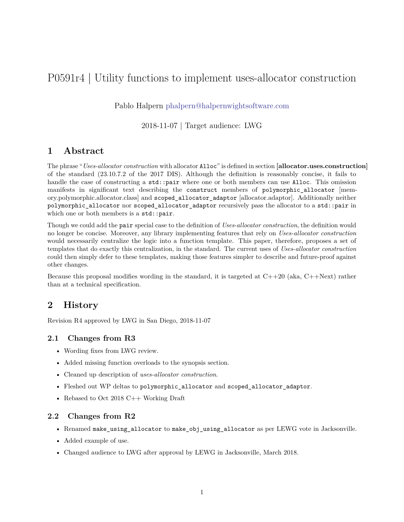# P0591r4 | Utility functions to implement uses-allocator construction

Pablo Halpern [phalpern@halpernwightsoftware.com](mailto:phalpern@halpernwightsoftware.com)

2018-11-07 | Target audience: LWG

## **1 Abstract**

The phrase "*Uses-allocator construction* with allocator Alloc" is defined in section **[allocator.uses.construction]** of the standard (23.10.7.2 of the 2017 DIS). Although the definition is reasonably concise, it fails to handle the case of constructing a std::pair where one or both members can use Alloc. This omission manifests in significant text describing the construct members of polymorphic allocator [memory.polymorphic.allocator.class] and scoped\_allocator\_adaptor [allocator.adaptor]. Additionally neither polymorphic\_allocator nor scoped\_allocator\_adaptor recursively pass the allocator to a std::pair in which one or both members is a std::pair.

Though we could add the pair special case to the definition of *Uses-allocator construction*, the definition would no longer be concise. Moreover, any library implementing features that rely on *Uses-allocator construction* would necessarily centralize the logic into a function template. This paper, therefore, proposes a set of templates that do exactly this centralization, in the standard. The current uses of *Uses-allocator construction* could then simply defer to these templates, making those features simpler to describe and future-proof against other changes.

Because this proposal modifies wording in the standard, it is targeted at  $C++20$  (aka,  $C++Next$ ) rather than at a technical specification.

## **2 History**

Revision R4 approved by LWG in San Diego, 2018-11-07

#### **2.1 Changes from R3**

- Wording fixes from LWG review.
- Added missing function overloads to the synopsis section.
- Cleaned up description of *uses-allocator construction*.
- Fleshed out WP deltas to polymorphic\_allocator and scoped\_allocator\_adaptor.
- Rebased to Oct 2018 C++ Working Draft

#### **2.2 Changes from R2**

- Renamed make\_using\_allocator to make\_obj\_using\_allocator as per LEWG vote in Jacksonville.
- Added example of use.
- Changed audience to LWG after approval by LEWG in Jacksonville, March 2018.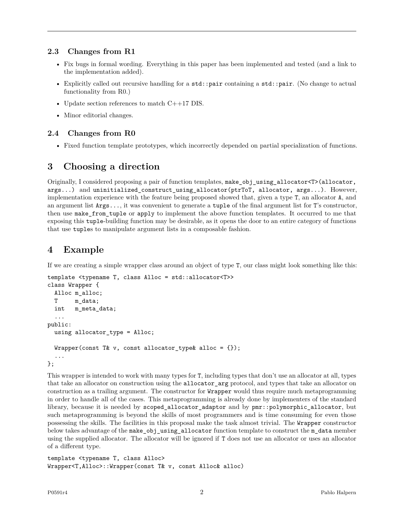### **2.3 Changes from R1**

- Fix bugs in formal wording. Everything in this paper has been implemented and tested (and a link to the implementation added).
- Explicitly called out recursive handling for a std::pair containing a std::pair. (No change to actual functionality from R0.)
- Update section references to match C++17 DIS.
- Minor editorial changes.

## **2.4 Changes from R0**

• Fixed function template prototypes, which incorrectly depended on partial specialization of functions.

# **3 Choosing a direction**

Originally, I considered proposing a pair of function templates, make\_obj\_using\_allocator<T>(allocator, args...) and uninitialized\_construct\_using\_allocator(ptrToT, allocator, args...). However, implementation experience with the feature being proposed showed that, given a type T, an allocator A, and an argument list Args..., it was convenient to generate a tuple of the final argument list for T's constructor, then use make\_from\_tuple or apply to implement the above function templates. It occurred to me that exposing this tuple-building function may be desirable, as it opens the door to an entire category of functions that use tuples to manipulate argument lists in a composable fashion.

# **4 Example**

If we are creating a simple wrapper class around an object of type T, our class might look something like this:

```
template <typename T, class Alloc = std::allocator<T>>
class Wrapper {
  Alloc m_alloc;
  T m_data;
 int m_meta_data;
  ...
public:
 using allocator_type = Alloc;
  Wrapper(const T& v, const allocator_type& alloc = {});
  ...
};
```
This wrapper is intended to work with many types for T, including types that don't use an allocator at all, types that take an allocator on construction using the allocator\_arg protocol, and types that take an allocator on construction as a trailing argument. The constructor for Wrapper would thus require much metaprogramming in order to handle all of the cases. This metaprogramming is already done by implementers of the standard library, because it is needed by scoped\_allocator\_adaptor and by  $pm:polymorphi$ c\_allocator, but such metaprogramming is beyond the skills of most programmers and is time consuming for even those possessing the skills. The facilities in this proposal make the task almost trivial. The Wrapper constructor below takes advantage of the make\_obj\_using\_allocator function template to construct the m\_data member using the supplied allocator. The allocator will be ignored if T does not use an allocator or uses an allocator of a different type.

```
template <typename T, class Alloc>
Wrapper<T,Alloc>::Wrapper(const T& v, const Alloc& alloc)
```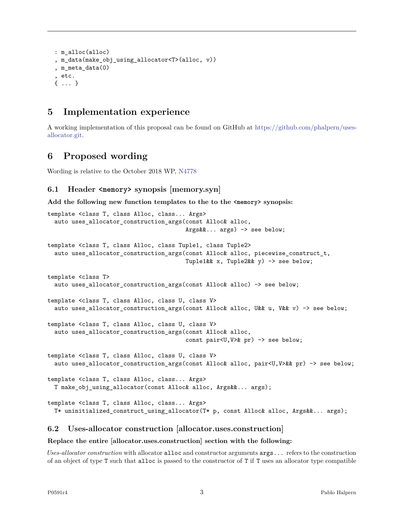```
: m_alloc(alloc)
, m_data(make_obj_using_allocator<T>(alloc, v))
, m_meta_data(0)
, etc.
{ ... }
```
# **5 Implementation experience**

A working implementation of this proposal can be found on GitHub at [https://github.com/phalpern/uses](https://github.com/phalpern/uses-allocator.git)[allocator.git.](https://github.com/phalpern/uses-allocator.git)

## **6 Proposed wording**

Wording is relative to the October 2018 WP, [N4778](http://www.open-std.org/JTC1/SC22/WG21/docs/papers/2018/n4778.pdf)

## **6.1 Header <memory> synopsis [memory.syn]**

**Add the following new function templates to the to the <memory> synopsis:**

```
template <class T, class Alloc, class... Args>
  auto uses_allocator_construction_args(const Alloc& alloc,
                                        Args&&... args) -> see below;
template <class T, class Alloc, class Tuple1, class Tuple2>
  auto uses_allocator_construction_args(const Alloc& alloc, piecewise_construct_t,
                                        Tuple1&& x, Tuple2&& y) -> see below;
template <class T>
  auto uses_allocator_construction_args(const Alloc& alloc) -> see below;
template <class T, class Alloc, class U, class V>
  auto uses_allocator_construction_args(const Alloc& alloc, U&& u, V&& v) -> see below;
template <class T, class Alloc, class U, class V>
  auto uses_allocator_construction_args(const Alloc& alloc,
                                        const pair<U,V>& pr) -> see below;
template <class T, class Alloc, class U, class V>
  auto uses_allocator_construction_args(const Alloc& alloc, pair<U,V>&& pr) -> see below;
template <class T, class Alloc, class... Args>
  T make_obj_using_allocator(const Alloc& alloc, Args&&... args);
template <class T, class Alloc, class... Args>
  T* uninitialized_construct_using_allocator(T* p, const Alloc& alloc, Args&&... args);
```
#### **6.2 Uses-allocator construction [allocator.uses.construction]**

#### **Replace the entire [allocator.uses.construction] section with the following:**

*Uses-allocator construction* with allocator alloc and constructor arguments args... refers to the construction of an object of type T such that alloc is passed to the constructor of T if T uses an allocator type compatible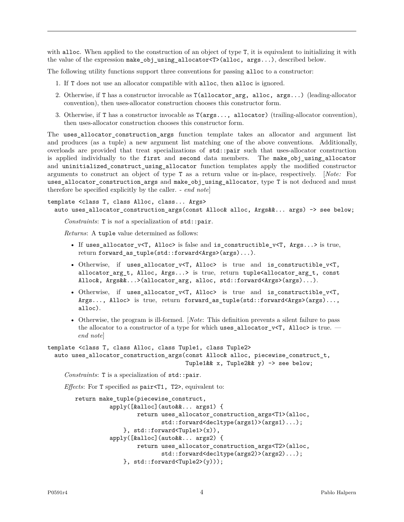with alloc. When applied to the construction of an object of type T, it is equivalent to initializing it with the value of the expression make\_obj\_using\_allocator<T>(alloc, args...), described below.

The following utility functions support three conventions for passing alloc to a constructor:

- 1. If T does not use an allocator compatible with alloc, then alloc is ignored.
- 2. Otherwise, if T has a constructor invocable as T(allocator\_arg, alloc, args...) (leading-allocator convention), then uses-allocator construction chooses this constructor form.
- 3. Otherwise, if T has a constructor invocable as T(args..., allocator) (trailing-allocator convention), then uses-allocator construction chooses this constructor form.

The uses\_allocator\_construction\_args function template takes an allocator and argument list and produces (as a tuple) a new argument list matching one of the above conventions. Additionally, overloads are provided that treat specializations of std::pair such that uses-allocator construction is applied individually to the first and second data members. The make\_obj\_using\_allocator and uninitialized\_construct\_using\_allocator function templates apply the modified constructor arguments to construct an object of type T as a return value or in-place, respectively. [*Note:* For uses\_allocator\_construction\_args and make\_obj\_using\_allocator, type T is not deduced and must therefore be specified explicitly by the caller. - *end note*]

```
template <class T, class Alloc, class... Args>
  auto uses_allocator_construction_args(const Alloc& alloc, Args&&... args) -> see below;
```
*Constraints*: T is *not* a specialization of std::pair.

*Returns*: A tuple value determined as follows:

- If uses\_allocator\_v<T, Alloc> is false and is\_constructible\_v<T, Args...> is true, return forward\_as\_tuple(std::forward<Args>(args)...).
- Otherwise, if uses\_allocator\_v<T, Alloc> is true and is\_constructible\_v<T, allocator\_arg\_t, Alloc, Args...> is true, return tuple<allocator\_arg\_t, const Alloc&, Args&&...>(allocator\_arg, alloc, std::forward<Args>(args)...).
- Otherwise, if uses\_allocator\_v<T, Alloc> is true and is\_constructible\_v<T, Args..., Alloc> is true, return forward\_as\_tuple(std::forward<Args>(args)..., alloc).
- Otherwise, the program is ill-formed. [*Note*: This definition prevents a silent failure to pass the allocator to a constructor of a type for which uses\_allocator\_v<T,  $\text{Alloc} >$  is true. *end note*]

```
template <class T, class Alloc, class Tuple1, class Tuple2>
  auto uses_allocator_construction_args(const Alloc& alloc, piecewise_construct_t,
                                        Tuple1&& x, Tuple2&& y) -> see below;
```
*Constraints*: T is a specialization of std::pair.

*Effects*: For T specified as pair<T1, T2>, equivalent to:

```
return make_tuple(piecewise_construct,
          apply([&alloc](auto&&... args1) {
                  return uses_allocator_construction_args<T1>(alloc,
                         std::forward<decltype(args1)>(args1)...);
              }, std::forward<Tuple1>(x)),
          apply([&alloc](auto&&... args2) {
                  return uses_allocator_construction_args<T2>(alloc,
                         std::forward<decltype(args2)>(args2)...);
              }, std::forward<Tuple2>(y)));
```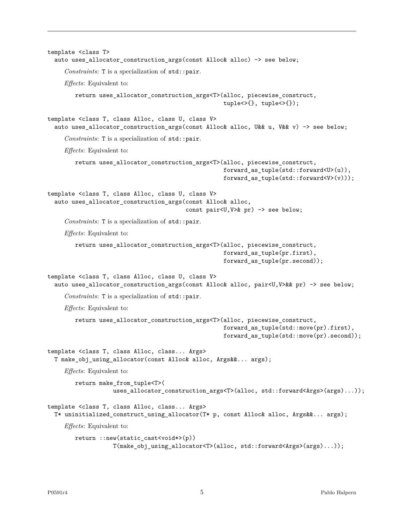```
template <class T>
  auto uses_allocator_construction_args(const Alloc& alloc) -> see below;
     Constraints: T is a specialization of std::pair.
    Effects: Equivalent to:
        return uses_allocator_construction_args<T>(alloc, piecewise_construct,
                                                     tuple<>{}, tuple<>{});
template <class T, class Alloc, class U, class V>
  auto uses_allocator_construction_args(const Alloc& alloc, U&& u, V&& v) -> see below;
     Constraints: T is a specialization of std::pair.
     Effects: Equivalent to:
        return uses_allocator_construction_args<T>(alloc, piecewise_construct,
                                                     forward_as_tuple(std::forward<U>(u)),
                                                     forward_as_tuple(std::forward<V>(v)));
template <class T, class Alloc, class U, class V>
  auto uses allocator construction args(const Alloc& alloc,
                                         const pair<U,V>& pr) -> see below;
     Constraints: T is a specialization of std::pair.
    Effects: Equivalent to:
        return uses_allocator_construction_args<T>(alloc, piecewise_construct,
                                                     forward_as_tuple(pr.first),
                                                     forward_as_tuple(pr.second));
template <class T, class Alloc, class U, class V>
  auto uses_allocator_construction_args(const Alloc& alloc, pair<U,V>&& pr) -> see below;
     Constraints: T is a specialization of std::pair.
     Effects: Equivalent to:
        return uses_allocator_construction_args<T>(alloc, piecewise_construct,
                                                     forward as tuple(std::move(pr).first),
                                                     forward as tuple(std::move(pr).second));
template <class T, class Alloc, class... Args>
  T make_obj_using_allocator(const Alloc& alloc, Args&&... args);
    Effects: Equivalent to:
        return make_from_tuple<T>(
                   uses_allocator_construction_args<T>(alloc, std::forward<Args>(args)...));
template <class T, class Alloc, class... Args>
  T* uninitialized_construct_using_allocator(T* p, const Alloc& alloc, Args&&... args);
     Effects: Equivalent to:
        return ::new(static_cast<void*>(p))
                   T(make_obj_using_allocator<T>(alloc, std::forward<Args>(args)...));
```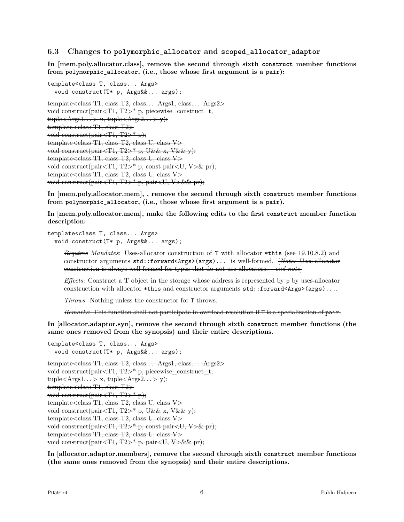#### **6.3 Changes to polymorphic\_allocator and scoped\_allocator\_adaptor**

**In [mem.poly.allocator.class], remove the second through sixth construct member functions from polymorphic\_allocator, (i.e., those whose first argument is a pair):**

```
template<class T, class... Args>
  void construct(T* p, Args&&... args);
template \leq class T1, class T2, class... Args1, class... Args2void construct(pair\langle T1, T2 \rangle^* p, piecewise construct t,
tuple \leq \text{Args1...} \geq x, tuple \leq \text{Args2...} \geq y);template < class T1, class T2 \geqvoid construct(pair\langle T1, T2 \rangle^* p);
template < class T1, class T2, class U, class V \ranglevoid construct(pair<T1, T2>* p, U&& x, V&& y);
template < class T1, class T2, class U, class V \ranglevoid construct(pair<T1, T2>* p, const pair<U, V>& pr);
template < class T1, class T2, class U, class V \ranglevoid construct(pair\langle T1, T2 \rangle^* p, pair\langle U, V \rangle \& pr);
```
**In [mem.poly.allocator.mem], , remove the second through sixth construct member functions from polymorphic\_allocator, (i.e., those whose first argument is a pair).**

**In [mem.poly.allocator.mem], make the following edits to the first construct member function description:**

```
template<class T, class... Args>
  void construct(T* p, Args&&... args);
```
*Requires Mandates*: Uses-allocator construction of T with allocator \*this (see 19.10.8.2) and constructor arguments std::forward<Args>(args)... is well-formed. [*Note:* Uses-allocator construction is always well formed for types that do not use allocators. - *end note*]

*Effects*: Construct a T object in the storage whose address is represented by p by uses-allocator construction with allocator \*this and constructor arguments std::forward<Args>(args)....

*Throws*: Nothing unless the constructor for T throws.

*Remarks*: This function shall not participate in overload resolution if T is a specialization of pair.

**In [allocator.adaptor.syn], remove the second through sixth construct member functions (the same ones removed from the synopsis) and their entire descriptions.**

```
template<class T, class... Args>
  void construct(T* p, Args&&... args);
template<class T1, class T2, class... Args1, class... Args2>
void construct(pair\langle T1, T2 \rangle^* p, piecewise construct t,
{\rm tuple}\langle \text{Args1}...\rangle \times {\rm tuple}\langle \text{Args2}...\rangle \times {\rm v}template < class T1, class T2 \geqvoid construct(pair\langle T1, T2 \rangle^* p);
template<class T1, class T2, class U, class V>
void construct(pair<T1, T2\rightarrow^* p, U&& x, V&& y);
template < class T1, class T2, class U, class V \ranglevoid construct(pair<T1, T2>* p, const pair<U, V>& pr);
template < class T1, class T2, class U, class V \ranglevoid construct(pair<T1, T2>* p, pair<U, V>&& pr);
```
**In [allocator.adaptor.members], remove the second through sixth construct member functions (the same ones removed from the synopsis) and their entire descriptions.**